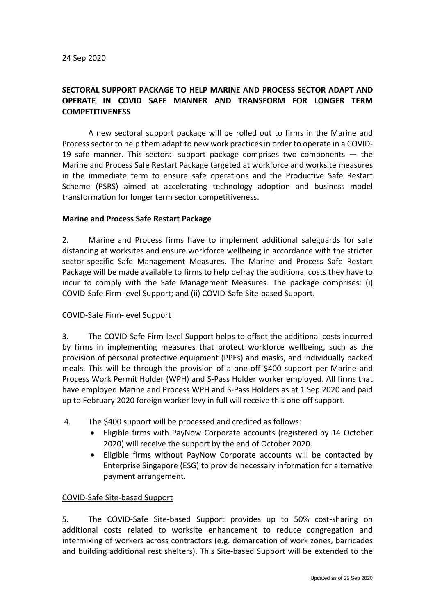# **SECTORAL SUPPORT PACKAGE TO HELP MARINE AND PROCESS SECTOR ADAPT AND OPERATE IN COVID SAFE MANNER AND TRANSFORM FOR LONGER TERM COMPETITIVENESS**

A new sectoral support package will be rolled out to firms in the Marine and Process sector to help them adapt to new work practices in order to operate in a COVID-19 safe manner. This sectoral support package comprises two components — the Marine and Process Safe Restart Package targeted at workforce and worksite measures in the immediate term to ensure safe operations and the Productive Safe Restart Scheme (PSRS) aimed at accelerating technology adoption and business model transformation for longer term sector competitiveness.

#### **Marine and Process Safe Restart Package**

2. Marine and Process firms have to implement additional safeguards for safe distancing at worksites and ensure workforce wellbeing in accordance with the stricter sector-specific Safe Management Measures. The Marine and Process Safe Restart Package will be made available to firms to help defray the additional costs they have to incur to comply with the Safe Management Measures. The package comprises: (i) COVID-Safe Firm-level Support; and (ii) COVID-Safe Site-based Support.

### COVID-Safe Firm-level Support

3. The COVID-Safe Firm-level Support helps to offset the additional costs incurred by firms in implementing measures that protect workforce wellbeing, such as the provision of personal protective equipment (PPEs) and masks, and individually packed meals. This will be through the provision of a one-off \$400 support per Marine and Process Work Permit Holder (WPH) and S-Pass Holder worker employed. All firms that have employed Marine and Process WPH and S-Pass Holders as at 1 Sep 2020 and paid up to February 2020 foreign worker levy in full will receive this one-off support.

- 4. The \$400 support will be processed and credited as follows:
	- Eligible firms with PayNow Corporate accounts (registered by 14 October 2020) will receive the support by the end of October 2020.
	- Eligible firms without PayNow Corporate accounts will be contacted by Enterprise Singapore (ESG) to provide necessary information for alternative payment arrangement.

### COVID-Safe Site-based Support

5. The COVID-Safe Site-based Support provides up to 50% cost-sharing on additional costs related to worksite enhancement to reduce congregation and intermixing of workers across contractors (e.g. demarcation of work zones, barricades and building additional rest shelters). This Site-based Support will be extended to the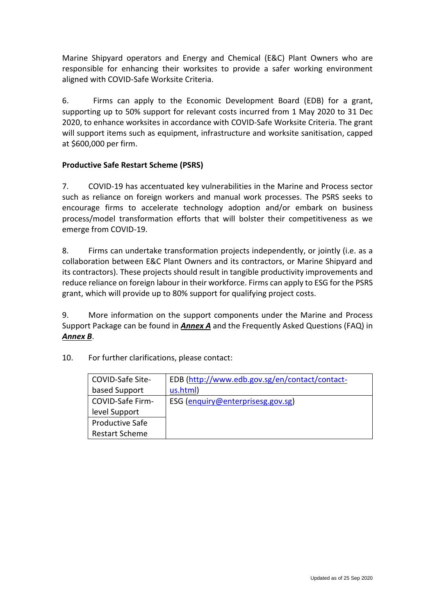Marine Shipyard operators and Energy and Chemical (E&C) Plant Owners who are responsible for enhancing their worksites to provide a safer working environment aligned with COVID-Safe Worksite Criteria.

6. Firms can apply to the Economic Development Board (EDB) for a grant, supporting up to 50% support for relevant costs incurred from 1 May 2020 to 31 Dec 2020, to enhance worksites in accordance with COVID-Safe Worksite Criteria. The grant will support items such as equipment, infrastructure and worksite sanitisation, capped at \$600,000 per firm.

# **Productive Safe Restart Scheme (PSRS)**

7. COVID-19 has accentuated key vulnerabilities in the Marine and Process sector such as reliance on foreign workers and manual work processes. The PSRS seeks to encourage firms to accelerate technology adoption and/or embark on business process/model transformation efforts that will bolster their competitiveness as we emerge from COVID-19.

8. Firms can undertake transformation projects independently, or jointly (i.e. as a collaboration between E&C Plant Owners and its contractors, or Marine Shipyard and its contractors). These projects should result in tangible productivity improvements and reduce reliance on foreign labour in their workforce. Firms can apply to ESG for the PSRS grant, which will provide up to 80% support for qualifying project costs.

9. More information on the support components under the Marine and Process Support Package can be found in *Annex A* and the Frequently Asked Questions (FAQ) in *Annex B*.

| COVID-Safe Site-      | EDB (http://www.edb.gov.sg/en/contact/contact- |
|-----------------------|------------------------------------------------|
| based Support         | us.html)                                       |
| COVID-Safe Firm-      | ESG (enquiry@enterprisesg.gov.sg)              |
| level Support         |                                                |
| Productive Safe       |                                                |
| <b>Restart Scheme</b> |                                                |

10. For further clarifications, please contact: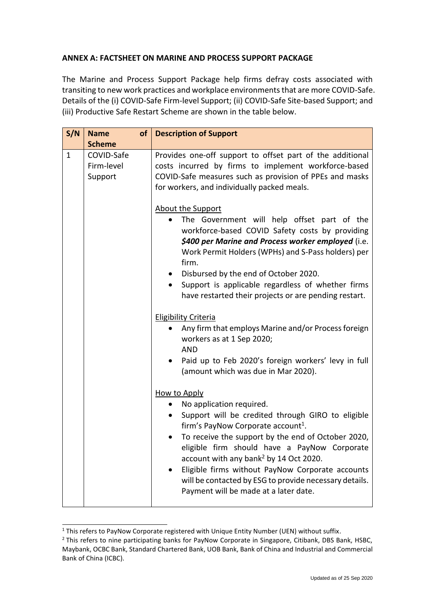# **ANNEX A: FACTSHEET ON MARINE AND PROCESS SUPPORT PACKAGE**

The Marine and Process Support Package help firms defray costs associated with transiting to new work practices and workplace environments that are more COVID-Safe. Details of the (i) COVID-Safe Firm-level Support; (ii) COVID-Safe Site-based Support; and (iii) Productive Safe Restart Scheme are shown in the table below.

| S/N          | <b>Name</b>                         | of | <b>Description of Support</b>                                                                                                                                                                                                                                                                                                                                                                                                                                             |
|--------------|-------------------------------------|----|---------------------------------------------------------------------------------------------------------------------------------------------------------------------------------------------------------------------------------------------------------------------------------------------------------------------------------------------------------------------------------------------------------------------------------------------------------------------------|
|              | <b>Scheme</b>                       |    |                                                                                                                                                                                                                                                                                                                                                                                                                                                                           |
| $\mathbf{1}$ | COVID-Safe<br>Firm-level<br>Support |    | Provides one-off support to offset part of the additional<br>costs incurred by firms to implement workforce-based<br>COVID-Safe measures such as provision of PPEs and masks<br>for workers, and individually packed meals.                                                                                                                                                                                                                                               |
|              |                                     |    | About the Support<br>The Government will help offset part of the<br>$\bullet$<br>workforce-based COVID Safety costs by providing<br>\$400 per Marine and Process worker employed (i.e.<br>Work Permit Holders (WPHs) and S-Pass holders) per<br>firm.<br>Disbursed by the end of October 2020.<br>Support is applicable regardless of whether firms<br>have restarted their projects or are pending restart.<br><b>Eligibility Criteria</b>                               |
|              |                                     |    | Any firm that employs Marine and/or Process foreign<br>workers as at 1 Sep 2020;<br><b>AND</b><br>Paid up to Feb 2020's foreign workers' levy in full<br>(amount which was due in Mar 2020).                                                                                                                                                                                                                                                                              |
|              |                                     |    | <b>How to Apply</b><br>No application required.<br>Support will be credited through GIRO to eligible<br>firm's PayNow Corporate account <sup>1</sup> .<br>To receive the support by the end of October 2020,<br>eligible firm should have a PayNow Corporate<br>account with any bank <sup>2</sup> by 14 Oct 2020.<br>Eligible firms without PayNow Corporate accounts<br>will be contacted by ESG to provide necessary details.<br>Payment will be made at a later date. |

<sup>&</sup>lt;sup>1</sup> This refers to PayNow Corporate registered with Unique Entity Number (UEN) without suffix.

<sup>&</sup>lt;sup>2</sup> This refers to nine participating banks for PayNow Corporate in Singapore, Citibank, DBS Bank, HSBC, Maybank, OCBC Bank, Standard Chartered Bank, UOB Bank, Bank of China and Industrial and Commercial Bank of China (ICBC).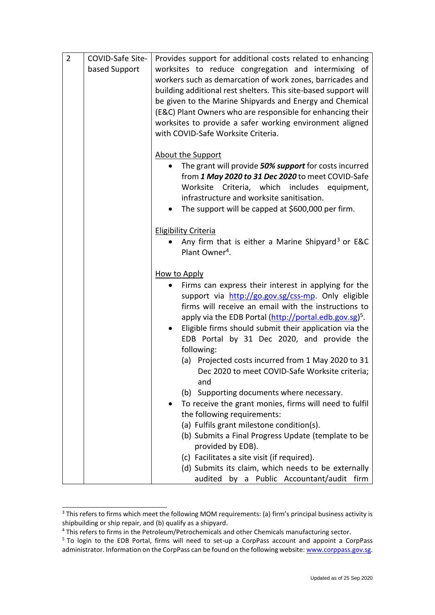| $\overline{2}$ | COVID-Safe Site- | Provides support for additional costs related to enhancing                                     |
|----------------|------------------|------------------------------------------------------------------------------------------------|
|                | based Support    | worksites to reduce congregation and intermixing of                                            |
|                |                  | workers such as demarcation of work zones, barricades and                                      |
|                |                  | building additional rest shelters. This site-based support will                                |
|                |                  | be given to the Marine Shipyards and Energy and Chemical                                       |
|                |                  | (E&C) Plant Owners who are responsible for enhancing their                                     |
|                |                  | worksites to provide a safer working environment aligned<br>with COVID-Safe Worksite Criteria. |
|                |                  |                                                                                                |
|                |                  | <b>About the Support</b>                                                                       |
|                |                  | The grant will provide 50% support for costs incurred                                          |
|                |                  | from 1 May 2020 to 31 Dec 2020 to meet COVID-Safe                                              |
|                |                  | Worksite Criteria, which includes equipment,                                                   |
|                |                  | infrastructure and worksite sanitisation.                                                      |
|                |                  | The support will be capped at \$600,000 per firm.                                              |
|                |                  | <b>Eligibility Criteria</b>                                                                    |
|                |                  | Any firm that is either a Marine Shipyard <sup>3</sup> or E&C                                  |
|                |                  | Plant Owner <sup>4</sup> .                                                                     |
|                |                  |                                                                                                |
|                |                  | <b>How to Apply</b><br>Firms can express their interest in applying for the<br>$\bullet$       |
|                |                  | support via http://go.gov.sg/css-mp. Only eligible                                             |
|                |                  | firms will receive an email with the instructions to                                           |
|                |                  | apply via the EDB Portal (http://portal.edb.gov.sg) <sup>5</sup> .                             |
|                |                  | Eligible firms should submit their application via the                                         |
|                |                  | EDB Portal by 31 Dec 2020, and provide the                                                     |
|                |                  | following:                                                                                     |
|                |                  | (a) Projected costs incurred from 1 May 2020 to 31                                             |
|                |                  | Dec 2020 to meet COVID-Safe Worksite criteria;                                                 |
|                |                  | and                                                                                            |
|                |                  | (b) Supporting documents where necessary.                                                      |
|                |                  | To receive the grant monies, firms will need to fulfil                                         |
|                |                  | the following requirements:<br>(a) Fulfils grant milestone condition(s).                       |
|                |                  | (b) Submits a Final Progress Update (template to be                                            |
|                |                  | provided by EDB).                                                                              |
|                |                  | (c) Facilitates a site visit (if required).                                                    |
|                |                  | (d) Submits its claim, which needs to be externally                                            |
|                |                  | audited<br>Public<br>Accountant/audit<br>firm<br>by a                                          |

<sup>&</sup>lt;sup>3</sup> This refers to firms which meet the following MOM requirements: (a) firm's principal business activity is shipbuilding or ship repair, and (b) qualify as a shipyard.

<sup>&</sup>lt;sup>4</sup> This refers to firms in the Petroleum/Petrochemicals and other Chemicals manufacturing sector.

<sup>5</sup> To login to the EDB Portal, firms will need to set-up a CorpPass account and appoint a CorpPass administrator. Information on the CorpPass can be found on the following website[: www.corppass.gov.sg.](file:///C:/Users/edb.xinyitan/AppData/Local/Microsoft/Windows/INetCache/Content.Outlook/6H3JLXEL/www.corppass.gov.sg)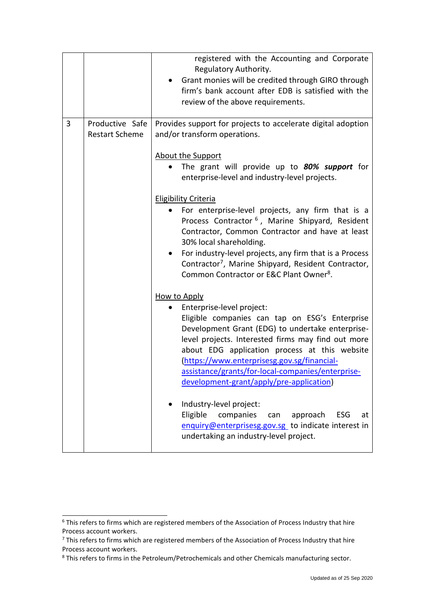|   |                                          | registered with the Accounting and Corporate<br>Regulatory Authority.<br>Grant monies will be credited through GIRO through<br>firm's bank account after EDB is satisfied with the<br>review of the above requirements.                                                                                                                                                                                                         |
|---|------------------------------------------|---------------------------------------------------------------------------------------------------------------------------------------------------------------------------------------------------------------------------------------------------------------------------------------------------------------------------------------------------------------------------------------------------------------------------------|
| 3 | Productive Safe<br><b>Restart Scheme</b> | Provides support for projects to accelerate digital adoption<br>and/or transform operations.<br>About the Support<br>The grant will provide up to 80% support for<br>enterprise-level and industry-level projects.                                                                                                                                                                                                              |
|   |                                          | <b>Eligibility Criteria</b><br>For enterprise-level projects, any firm that is a<br>Process Contractor <sup>6</sup> , Marine Shipyard, Resident<br>Contractor, Common Contractor and have at least<br>30% local shareholding.<br>For industry-level projects, any firm that is a Process<br>$\bullet$<br>Contractor <sup>7</sup> , Marine Shipyard, Resident Contractor,<br>Common Contractor or E&C Plant Owner <sup>8</sup> . |
|   |                                          | <b>How to Apply</b><br>Enterprise-level project:<br>Eligible companies can tap on ESG's Enterprise<br>Development Grant (EDG) to undertake enterprise-<br>level projects. Interested firms may find out more<br>about EDG application process at this website<br>(https://www.enterprisesg.gov.sg/financial-<br>assistance/grants/for-local-companies/enterprise-<br><u>development-grant/apply/pre-application</u> )           |
|   |                                          | Industry-level project:<br>Eligible<br>companies<br>ESG<br>approach<br>can<br>at<br>enquiry@enterprisesg.gov.sg to indicate interest in<br>undertaking an industry-level project.                                                                                                                                                                                                                                               |

 $6$  This refers to firms which are registered members of the Association of Process Industry that hire Process account workers.

 $7$  This refers to firms which are registered members of the Association of Process Industry that hire Process account workers.

<sup>8</sup> This refers to firms in the Petroleum/Petrochemicals and other Chemicals manufacturing sector.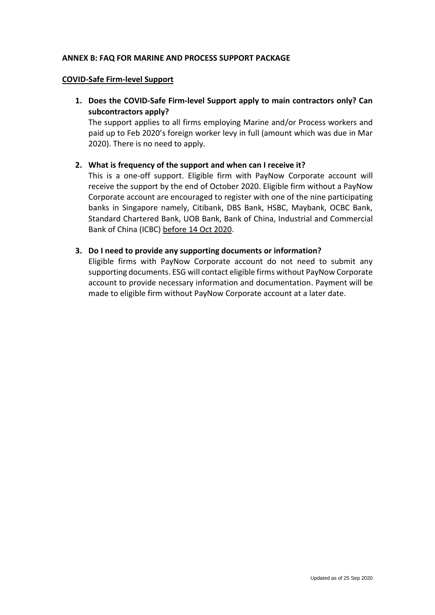# **ANNEX B: FAQ FOR MARINE AND PROCESS SUPPORT PACKAGE**

## **COVID-Safe Firm-level Support**

**1. Does the COVID-Safe Firm-level Support apply to main contractors only? Can subcontractors apply?** 

The support applies to all firms employing Marine and/or Process workers and paid up to Feb 2020's foreign worker levy in full (amount which was due in Mar 2020). There is no need to apply.

# **2. What is frequency of the support and when can I receive it?**

This is a one-off support. Eligible firm with PayNow Corporate account will receive the support by the end of October 2020. Eligible firm without a PayNow Corporate account are encouraged to register with one of the nine participating banks in Singapore namely, Citibank, DBS Bank, HSBC, Maybank, OCBC Bank, Standard Chartered Bank, UOB Bank, Bank of China, Industrial and Commercial Bank of China (ICBC) before 14 Oct 2020.

# **3. Do I need to provide any supporting documents or information?**

Eligible firms with PayNow Corporate account do not need to submit any supporting documents. ESG will contact eligible firms without PayNow Corporate account to provide necessary information and documentation. Payment will be made to eligible firm without PayNow Corporate account at a later date.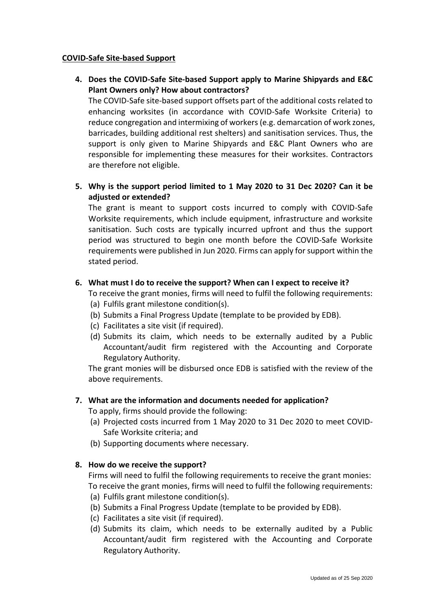#### **COVID-Safe Site-based Support**

**4. Does the COVID-Safe Site-based Support apply to Marine Shipyards and E&C Plant Owners only? How about contractors?**

The COVID-Safe site-based support offsets part of the additional costs related to enhancing worksites (in accordance with COVID-Safe Worksite Criteria) to reduce congregation and intermixing of workers (e.g. demarcation of work zones, barricades, building additional rest shelters) and sanitisation services. Thus, the support is only given to Marine Shipyards and E&C Plant Owners who are responsible for implementing these measures for their worksites. Contractors are therefore not eligible.

**5. Why is the support period limited to 1 May 2020 to 31 Dec 2020? Can it be adjusted or extended?** 

The grant is meant to support costs incurred to comply with COVID-Safe Worksite requirements, which include equipment, infrastructure and worksite sanitisation. Such costs are typically incurred upfront and thus the support period was structured to begin one month before the COVID-Safe Worksite requirements were published in Jun 2020. Firms can apply for support within the stated period.

### **6. What must I do to receive the support? When can I expect to receive it?**

To receive the grant monies, firms will need to fulfil the following requirements: (a) Fulfils grant milestone condition(s).

- (b) Submits a Final Progress Update (template to be provided by EDB).
- (c) Facilitates a site visit (if required).
- (d) Submits its claim, which needs to be externally audited by a Public Accountant/audit firm registered with the Accounting and Corporate Regulatory Authority.

The grant monies will be disbursed once EDB is satisfied with the review of the above requirements.

#### **7. What are the information and documents needed for application?**

To apply, firms should provide the following:

- (a) Projected costs incurred from 1 May 2020 to 31 Dec 2020 to meet COVID-Safe Worksite criteria; and
- (b) Supporting documents where necessary.

### **8. How do we receive the support?**

Firms will need to fulfil the following requirements to receive the grant monies:

- To receive the grant monies, firms will need to fulfil the following requirements:
- (a) Fulfils grant milestone condition(s).
- (b) Submits a Final Progress Update (template to be provided by EDB).
- (c) Facilitates a site visit (if required).
- (d) Submits its claim, which needs to be externally audited by a Public Accountant/audit firm registered with the Accounting and Corporate Regulatory Authority.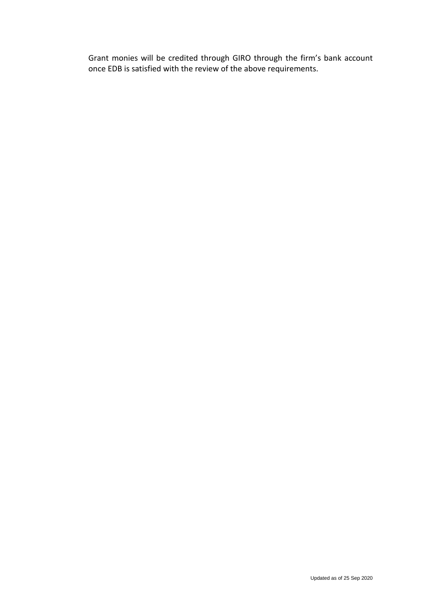Grant monies will be credited through GIRO through the firm's bank account once EDB is satisfied with the review of the above requirements.